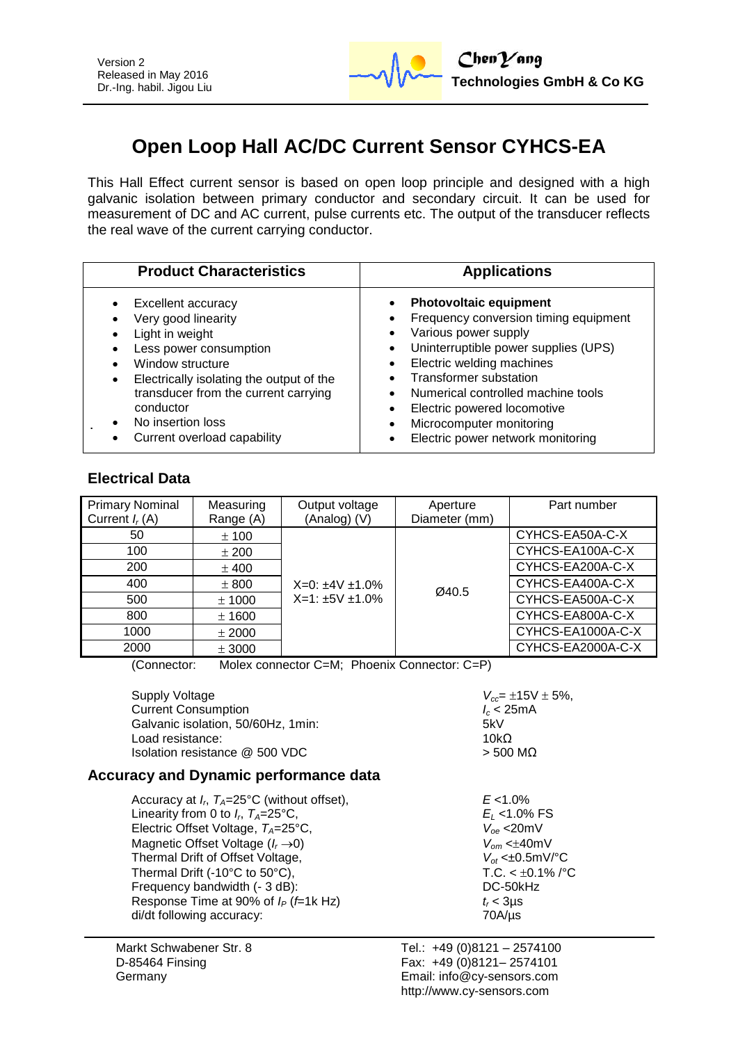

# **Open Loop Hall AC/DC Current Sensor CYHCS-EA**

This Hall Effect current sensor is based on open loop principle and designed with a high galvanic isolation between primary conductor and secondary circuit. It can be used for measurement of DC and AC current, pulse currents etc. The output of the transducer reflects the real wave of the current carrying conductor.

| <b>Product Characteristics</b>           | <b>Applications</b>                   |
|------------------------------------------|---------------------------------------|
| Excellent accuracy                       | <b>Photovoltaic equipment</b>         |
| Very good linearity                      | Frequency conversion timing equipment |
| Light in weight                          | Various power supply                  |
| Less power consumption                   | Uninterruptible power supplies (UPS)  |
| Window structure                         | Electric welding machines             |
| Electrically isolating the output of the | <b>Transformer substation</b>         |
| transducer from the current carrying     | Numerical controlled machine tools    |
| conductor                                | Electric powered locomotive           |
| No insertion loss                        | Microcomputer monitoring              |
| Current overload capability              | Electric power network monitoring     |

### **Electrical Data**

| <b>Primary Nominal</b> | Measuring | Output voltage                                     | Aperture      | Part number       |
|------------------------|-----------|----------------------------------------------------|---------------|-------------------|
| Current $I_r(A)$       | Range (A) | (Analog) (V)                                       | Diameter (mm) |                   |
| 50                     | ± 100     | $X=0: \pm 4V \pm 1.0\%$<br>$X=1: \pm 5V \pm 1.0\%$ |               | CYHCS-EA50A-C-X   |
| 100                    | ± 200     |                                                    |               | CYHCS-EA100A-C-X  |
| 200                    | $±$ 400   |                                                    |               | CYHCS-EA200A-C-X  |
| 400                    | ± 800     |                                                    | Ø40.5         | CYHCS-EA400A-C-X  |
| 500                    | $±$ 1000  |                                                    |               | CYHCS-EA500A-C-X  |
| 800                    | $±$ 1600  |                                                    |               | CYHCS-EA800A-C-X  |
| 1000                   | $±$ 2000  |                                                    |               | CYHCS-EA1000A-C-X |
| 2000                   | ± 3000    |                                                    |               | CYHCS-EA2000A-C-X |

(Connector: Molex connector C=M; Phoenix Connector: C=P)

Supply Voltage **V**<sub>cc</sub>=  $\pm$ 15V  $\pm$  5%,<br>Current Consumption **1.** Current Consumption Current Consumption *I<sub>c</sub>* **< 2**<br>Galvanic isolation. 50/60Hz. 1min: **ICC** 5KV Galvanic isolation, 50/60Hz, 1min: Load resistance:  $10kΩ$ <br>Isolation resistance @ 500 VDC > 500 MΩ Isolation resistance @ 500 VDC

 $E$  <1.0%

 $E_L$  <1.0% FS Electric Offset Voltage, *TA*=25°C, *Voe* <20mV Magnetic Offset Voltage (*I<sup>r</sup>* 0) *Vom* <40mV  $V_{ot}$  < $\pm 0.5$ mV/°C  $T.C. < \pm 0.1\%$  /°C DC-50kHz

# **Accuracy and Dynamic performance data**

| Accuracy at $I_r$ , $T_A=25^{\circ}C$ (without offset), | E < 1.09                 |
|---------------------------------------------------------|--------------------------|
| Linearity from 0 to $I_r$ , $T_A=25^{\circ}$ C,         | $E_1$ < 1.0              |
| Electric Offset Voltage, $T_A = 25^{\circ}C$ ,          | $V_{\alpha}$ <20         |
| Magnetic Offset Voltage $(I_r \rightarrow 0)$           | $V_{\alpha m}$ < $\pm 4$ |
| Thermal Drift of Offset Voltage,                        | $V_{\alpha t}$ < $\pm 0$ |
| Thermal Drift (-10 $^{\circ}$ C to 50 $^{\circ}$ C),    | T.C. <                   |
| Frequency bandwidth (- 3 dB):                           | <b>DC-50</b>             |
| Response Time at 90% of $I_P$ ( <i>f</i> =1k Hz)        | $t_r$ < 3us              |
| di/dt following accuracy:                               | $70A/\mu s$              |

Markt Schwabener Str. 8 D-85464 Finsing Germany

Tel.: +49 (0)8121 – 2574100 Fax: +49 (0)8121– 2574101 Email: info@cy-sensors.com http://www.cy-sensors.com